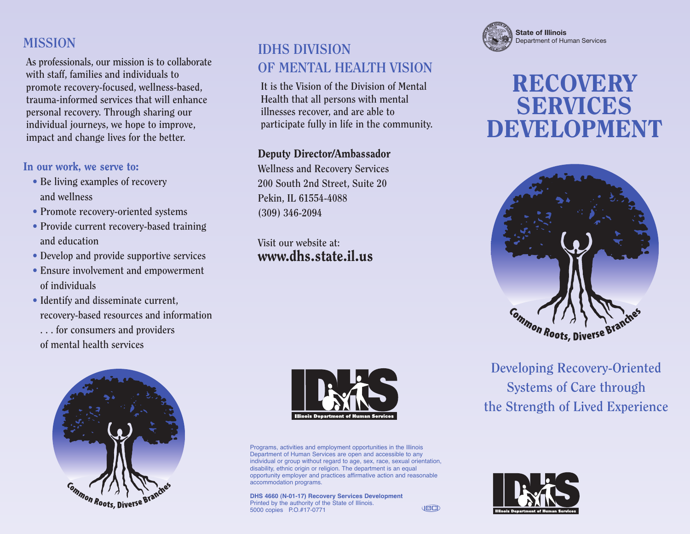#### **MISSION**

**As professionals, our mission is to collaborate with staff, families and individuals to promote recovery-focused, wellness-based, trauma-informed services that will enhance personal recovery. Through sharing our individual journeys, we hope to improve, impact and change lives for the better.**

#### **In our work, we serve to:**

- **• Be living examples of recovery and wellness**
- **• Promote recovery-oriented systems**
- **• Provide current recovery-based training and education**
- **• Develop and provide supportive services**
- **• Ensure involvement and empowerment of individuals**
- **• Identify and disseminate current, recovery-based resources and information . . . for consumers and providers**

**of mental health services**



#### **IDHS DIVISION OF MENTAL HEALTH VISION**

**It is the Vision of the Division of Mental Health that all persons with mental illnesses recover, and are able to participate fully in life in the community.**

#### **Deputy Director/Ambassador**

**Wellness and Recovery Services 200 South 2nd Street, Suite 20 Pekin, IL 61554-4088 (309) 346-2094**

**Visit our website at: www.dhs.state.il.us**



Programs, activities and employment opportunities in the Illinois Department of Human Services are open and accessible to any individual or group without regard to age, sex, race, sexual orientation, disability, ethnic origin or religion. The department is an equal opportunity employer and practices affirmative action and reasonable accommodation programs.

**JECT** 

**DHS 4660 (N-01-17) Recovery Services Development** Printed by the authority of the State of Illinois. 5000 copies P.O.#17-0771



# **RECOVERY SERVICES DEVELOPMENT**



**Developing Recovery-Oriented Systems of Care through the Strength of Lived Experience**